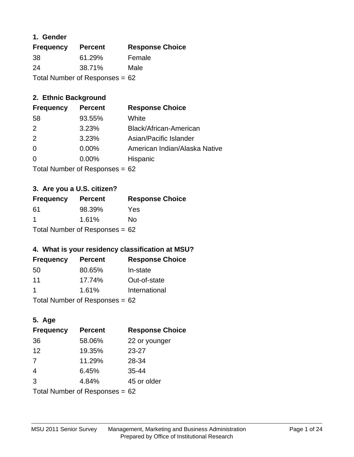## **1. Gender**

| <b>Frequency</b>                 | <b>Percent</b> | <b>Response Choice</b> |
|----------------------------------|----------------|------------------------|
| 38                               | 61.29%         | Female                 |
| 24                               | 38.71%         | Male                   |
| Total Number of Responses = $62$ |                |                        |

# **2. Ethnic Background**

| <b>Frequency</b> | <b>Percent</b> | <b>Response Choice</b>        |
|------------------|----------------|-------------------------------|
| 58               | 93.55%         | White                         |
| $\mathcal{P}$    | 3.23%          | Black/African-American        |
| 2                | 3.23%          | Asian/Pacific Islander        |
| $\Omega$         | 0.00%          | American Indian/Alaska Native |
| $\Omega$         | 0.00%          | Hispanic                      |
|                  |                |                               |

Total Number of Responses = 62

# **3. Are you a U.S. citizen?**

| <b>Frequency</b>                 | <b>Percent</b> | <b>Response Choice</b> |
|----------------------------------|----------------|------------------------|
| -61                              | 98.39%         | Yes                    |
| -1                               | 1.61%          | Nο                     |
| Total Number of Responses = $62$ |                |                        |

# **4. What is your residency classification at MSU?**

| <b>Frequency</b> | <b>Percent</b> | <b>Response Choice</b> |
|------------------|----------------|------------------------|
| -50              | 80.65%         | In-state               |
| 11               | 17.74%         | Out-of-state           |
|                  | 1.61%          | International          |
|                  |                |                        |

Total Number of Responses = 62

# **5. Age**

| <b>Frequency</b>                 | <b>Percent</b> | <b>Response Choice</b> |
|----------------------------------|----------------|------------------------|
| 36                               | 58.06%         | 22 or younger          |
| 12                               | 19.35%         | $23 - 27$              |
| 7                                | 11.29%         | 28-34                  |
| $\overline{4}$                   | 6.45%          | $35 - 44$              |
| 3                                | 4.84%          | 45 or older            |
| Total Number of Responses = $62$ |                |                        |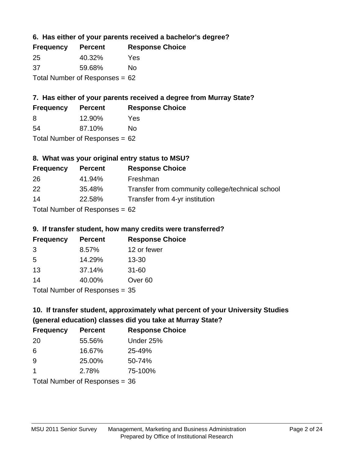## **6. Has either of your parents received a bachelor's degree?**

| <b>Frequency</b>                 | <b>Percent</b> | <b>Response Choice</b> |
|----------------------------------|----------------|------------------------|
| -25                              | 40.32%         | Yes                    |
| .37                              | 59.68%         | Nο                     |
| Total Number of Responses = $62$ |                |                        |

# **7. Has either of your parents received a degree from Murray State?**

| <b>Frequency</b> | <b>Percent</b> | <b>Response Choice</b> |
|------------------|----------------|------------------------|
| -8               | 12.90%         | Yes                    |
| -54              | 87.10%         | No                     |

Total Number of Responses = 62

## **8. What was your original entry status to MSU?**

| <b>Frequency</b> | <b>Percent</b>                 | <b>Response Choice</b>                           |
|------------------|--------------------------------|--------------------------------------------------|
| 26               | 41.94%                         | Freshman                                         |
| 22               | 35.48%                         | Transfer from community college/technical school |
| 14               | 22.58%                         | Transfer from 4-yr institution                   |
|                  | $Total Number of Denance = 62$ |                                                  |

Total Number of Responses = 62

### **9. If transfer student, how many credits were transferred?**

| <b>Frequency</b>          | <b>Percent</b> | <b>Response Choice</b> |
|---------------------------|----------------|------------------------|
| 3                         | 8.57%          | 12 or fewer            |
| -5                        | 14.29%         | $13 - 30$              |
| 13                        | 37.14%         | $31 - 60$              |
| 14                        | 40.00%         | Over <sub>60</sub>     |
| Total Number of Desponses |                |                        |

Total Number of Responses = 35

# **10. If transfer student, approximately what percent of your University Studies (general education) classes did you take at Murray State?**

| <b>Frequency</b>               | <b>Percent</b> | <b>Response Choice</b> |
|--------------------------------|----------------|------------------------|
| -20                            | 55.56%         | Under 25%              |
| -6                             | 16.67%         | 25-49%                 |
| -9                             | 25.00%         | 50-74%                 |
| 1                              | 2.78%          | 75-100%                |
| Total Number of Responses = 36 |                |                        |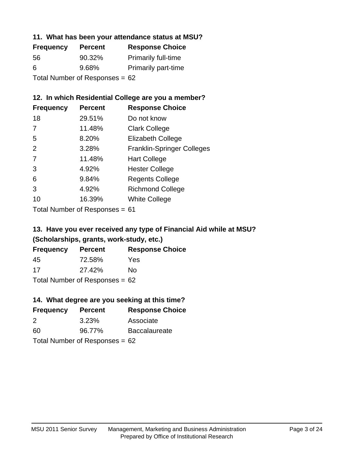### **11. What has been your attendance status at MSU?**

| <b>Frequency</b>               | <b>Percent</b> | <b>Response Choice</b>     |
|--------------------------------|----------------|----------------------------|
| 56                             | 90.32%         | <b>Primarily full-time</b> |
| 6                              | 9.68%          | <b>Primarily part-time</b> |
| Total Number of Responses = 62 |                |                            |

## **12. In which Residential College are you a member?**

| <b>Frequency</b> | <b>Percent</b> | <b>Response Choice</b>            |
|------------------|----------------|-----------------------------------|
| 18               | 29.51%         | Do not know                       |
| 7                | 11.48%         | <b>Clark College</b>              |
| 5                | 8.20%          | <b>Elizabeth College</b>          |
| 2                | 3.28%          | <b>Franklin-Springer Colleges</b> |
| 7                | 11.48%         | <b>Hart College</b>               |
| 3                | 4.92%          | <b>Hester College</b>             |
| 6                | 9.84%          | <b>Regents College</b>            |
| 3                | 4.92%          | <b>Richmond College</b>           |
| 10               | 16.39%         | <b>White College</b>              |

Total Number of Responses = 61

# **13. Have you ever received any type of Financial Aid while at MSU? (Scholarships, grants, work-study, etc.)**

| <b>Frequency</b> | <b>Percent</b>                   | <b>Response Choice</b> |
|------------------|----------------------------------|------------------------|
| 45               | 72.58%                           | Yes                    |
| 17               | 27.42%                           | No                     |
|                  | Total Number of Responses = $62$ |                        |

### **14. What degree are you seeking at this time?**

| <b>Frequency</b> | <b>Percent</b>                   | <b>Response Choice</b> |
|------------------|----------------------------------|------------------------|
| 2                | 3.23%                            | Associate              |
| 60               | 96.77%                           | <b>Baccalaureate</b>   |
|                  | Total Number of Responses = $62$ |                        |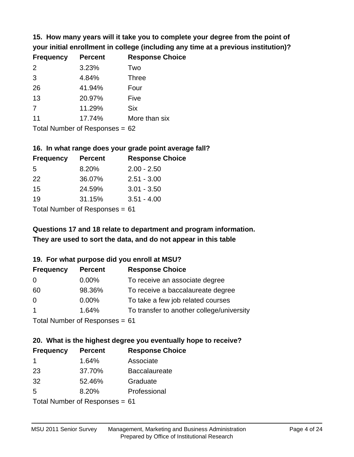**15. How many years will it take you to complete your degree from the point of your initial enrollment in college (including any time at a previous institution)?**

| <b>Frequency</b> | <b>Percent</b> | <b>Response Choice</b> |
|------------------|----------------|------------------------|
| 2                | 3.23%          | Two                    |
| 3                | 4.84%          | <b>Three</b>           |
| 26               | 41.94%         | Four                   |
| 13               | 20.97%         | Five                   |
| 7                | 11.29%         | <b>Six</b>             |
| 11               | 17.74%         | More than six          |
|                  |                |                        |

Total Number of Responses = 62

#### **16. In what range does your grade point average fall?**

| <b>Frequency</b> | <b>Percent</b> | <b>Response Choice</b> |
|------------------|----------------|------------------------|
| -5               | 8.20%          | $2.00 - 2.50$          |
| 22               | 36.07%         | $2.51 - 3.00$          |
| 15               | 24.59%         | $3.01 - 3.50$          |
| 19               | 31.15%         | $3.51 - 4.00$          |
| _                |                |                        |

Total Number of Responses = 61

# **They are used to sort the data, and do not appear in this table Questions 17 and 18 relate to department and program information.**

### **19. For what purpose did you enroll at MSU?**

| <b>Frequency</b> | <b>Percent</b>                 | <b>Response Choice</b>                    |
|------------------|--------------------------------|-------------------------------------------|
| 0                | $0.00\%$                       | To receive an associate degree            |
| 60               | 98.36%                         | To receive a baccalaureate degree         |
| $\Omega$         | $0.00\%$                       | To take a few job related courses         |
| $\overline{1}$   | 1.64%                          | To transfer to another college/university |
|                  | $Total Number of Denonce - 61$ |                                           |

Total Number of Responses = 61

# **20. What is the highest degree you eventually hope to receive?**

| <b>Frequency</b>               | <b>Percent</b> | <b>Response Choice</b> |
|--------------------------------|----------------|------------------------|
| $\mathbf 1$                    | 1.64%          | Associate              |
| 23                             | 37.70%         | <b>Baccalaureate</b>   |
| 32                             | 52.46%         | Graduate               |
| 5                              | 8.20%          | Professional           |
| Total Number of Poenonces - 61 |                |                        |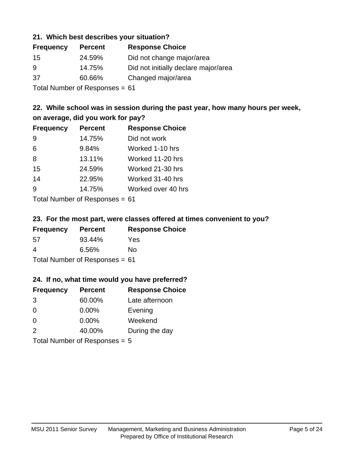### **21. Which best describes your situation?**

| <b>Frequency</b> | <b>Percent</b> | <b>Response Choice</b>               |
|------------------|----------------|--------------------------------------|
| 15               | 24.59%         | Did not change major/area            |
| -9               | 14.75%         | Did not initially declare major/area |
| -37              | 60.66%         | Changed major/area                   |
|                  |                |                                      |

Total Number of Responses = 61

# **22. While school was in session during the past year, how many hours per week, on average, did you work for pay?**

| <b>Frequency</b> | <b>Percent</b> | <b>Response Choice</b> |
|------------------|----------------|------------------------|
| 9                | 14.75%         | Did not work           |
| 6                | 9.84%          | Worked 1-10 hrs        |
| 8                | 13.11%         | Worked 11-20 hrs       |
| 15               | 24.59%         | Worked 21-30 hrs       |
| 14               | 22.95%         | Worked 31-40 hrs       |
| 9                | 14.75%         | Worked over 40 hrs     |
|                  |                |                        |

Total Number of Responses = 61

### **23. For the most part, were classes offered at times convenient to you?**

| <b>Frequency</b>                 | <b>Percent</b> | <b>Response Choice</b> |
|----------------------------------|----------------|------------------------|
| -57                              | 93.44%         | Yes                    |
| 4                                | 6.56%          | No.                    |
| Total Number of Responses = $61$ |                |                        |

### **24. If no, what time would you have preferred?**

| <b>Frequency</b>                | <b>Percent</b> | <b>Response Choice</b> |
|---------------------------------|----------------|------------------------|
| 3                               | 60.00%         | Late afternoon         |
| $\Omega$                        | $0.00\%$       | Evening                |
| $\Omega$                        | $0.00\%$       | Weekend                |
| 2                               | 40.00%         | During the day         |
| Total Number of Responses $= 5$ |                |                        |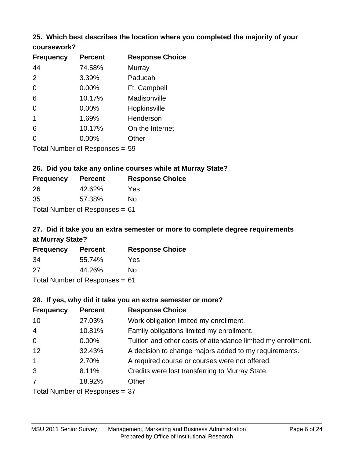### **25. Which best describes the location where you completed the majority of your coursework?**

| <b>Frequency</b> | <b>Percent</b>                 | <b>Response Choice</b> |
|------------------|--------------------------------|------------------------|
| 44               | 74.58%                         | Murray                 |
| 2                | 3.39%                          | Paducah                |
| $\overline{0}$   | 0.00%                          | Ft. Campbell           |
| 6                | 10.17%                         | Madisonville           |
| $\overline{0}$   | 0.00%                          | Hopkinsville           |
| 1                | 1.69%                          | Henderson              |
| 6                | 10.17%                         | On the Internet        |
| 0                | 0.00%                          | Other                  |
|                  | Total Number of Responses = 59 |                        |

**26. Did you take any online courses while at Murray State?**

| <b>Frequency</b> | <b>Percent</b>                   | <b>Response Choice</b> |
|------------------|----------------------------------|------------------------|
| 26               | 42.62%                           | Yes                    |
| -35              | 57.38%                           | Nο                     |
|                  | Total Number of Responses = $61$ |                        |

# **27. Did it take you an extra semester or more to complete degree requirements at Murray State?**

| <b>Frequency</b>               | <b>Percent</b> | <b>Response Choice</b> |  |
|--------------------------------|----------------|------------------------|--|
| -34                            | 55.74%         | Yes                    |  |
| 27                             | 44.26%         | Nο                     |  |
| Total Number of Responses = 61 |                |                        |  |

**28. If yes, why did it take you an extra semester or more?**

| <b>Frequency</b>               | <b>Percent</b> | <b>Response Choice</b>                                       |  |
|--------------------------------|----------------|--------------------------------------------------------------|--|
| 10                             | 27.03%         | Work obligation limited my enrollment.                       |  |
| $\overline{4}$                 | 10.81%         | Family obligations limited my enrollment.                    |  |
| $\mathbf 0$                    | $0.00\%$       | Tuition and other costs of attendance limited my enrollment. |  |
| 12                             | 32.43%         | A decision to change majors added to my requirements.        |  |
| $\overline{1}$                 | 2.70%          | A required course or courses were not offered.               |  |
| 3                              | 8.11%          | Credits were lost transferring to Murray State.              |  |
| $\overline{7}$                 | 18.92%         | Other                                                        |  |
| Total Number of Responses = 37 |                |                                                              |  |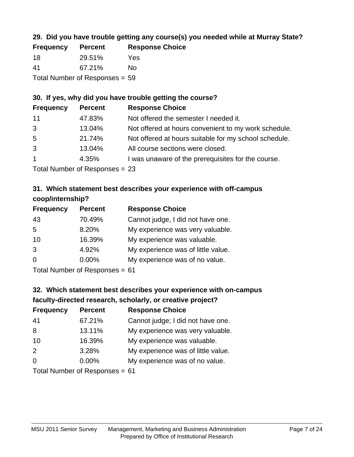# **29. Did you have trouble getting any course(s) you needed while at Murray State?**

| <b>Frequency</b>                 | <b>Percent</b> | <b>Response Choice</b> |  |
|----------------------------------|----------------|------------------------|--|
| -18                              | 29.51%         | Yes                    |  |
| -41                              | 67.21%         | Nο                     |  |
| Total Number of Responses $= 59$ |                |                        |  |

### **30. If yes, why did you have trouble getting the course?**

| <b>Frequency</b> | <b>Percent</b> | <b>Response Choice</b>                                |
|------------------|----------------|-------------------------------------------------------|
| 11               | 47.83%         | Not offered the semester I needed it.                 |
| 3                | 13.04%         | Not offered at hours convenient to my work schedule.  |
| 5                | 21.74%         | Not offered at hours suitable for my school schedule. |
| 3                | 13.04%         | All course sections were closed.                      |
| $\overline{1}$   | 4.35%          | I was unaware of the prerequisites for the course.    |
|                  |                |                                                       |

Total Number of Responses = 23

# **31. Which statement best describes your experience with off-campus coop/internship?**

| <b>Frequency</b> | <b>Percent</b> | <b>Response Choice</b>             |
|------------------|----------------|------------------------------------|
| 43               | 70.49%         | Cannot judge, I did not have one.  |
| 5                | 8.20%          | My experience was very valuable.   |
| 10               | 16.39%         | My experience was valuable.        |
| 3                | 4.92%          | My experience was of little value. |
| $\Omega$         | $0.00\%$       | My experience was of no value.     |
|                  |                |                                    |

Total Number of Responses = 61

# **32. Which statement best describes your experience with on-campus faculty-directed research, scholarly, or creative project?**

| <b>Frequency</b> | <b>Percent</b>            | <b>Response Choice</b>             |
|------------------|---------------------------|------------------------------------|
| 41               | 67.21%                    | Cannot judge; I did not have one.  |
| 8                | 13.11%                    | My experience was very valuable.   |
| 10               | 16.39%                    | My experience was valuable.        |
| 2                | 3.28%                     | My experience was of little value. |
| $\Omega$         | 0.00%                     | My experience was of no value.     |
|                  | Total Number of Deepersee |                                    |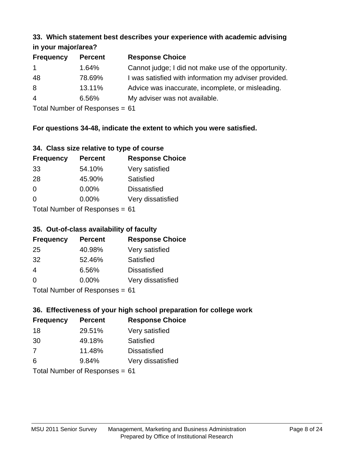#### **33. Which statement best describes your experience with academic advising in your major/area?**

|                  | 11.70011110001701001 |                                                       |  |  |
|------------------|----------------------|-------------------------------------------------------|--|--|
| <b>Frequency</b> | <b>Percent</b>       | <b>Response Choice</b>                                |  |  |
| $\mathbf{1}$     | 1.64%                | Cannot judge; I did not make use of the opportunity.  |  |  |
| 48               | 78.69%               | I was satisfied with information my adviser provided. |  |  |
| 8                | 13.11%               | Advice was inaccurate, incomplete, or misleading.     |  |  |
| $\overline{4}$   | 6.56%                | My adviser was not available.                         |  |  |
|                  |                      |                                                       |  |  |

Total Number of Responses = 61

# **For questions 34-48, indicate the extent to which you were satisfied.**

|  | 34. Class size relative to type of course |  |  |
|--|-------------------------------------------|--|--|
|  |                                           |  |  |

| <b>Frequency</b>               | <b>Percent</b> | <b>Response Choice</b> |  |
|--------------------------------|----------------|------------------------|--|
| 33                             | 54.10%         | Very satisfied         |  |
| 28                             | 45.90%         | Satisfied              |  |
| $\Omega$                       | $0.00\%$       | <b>Dissatisfied</b>    |  |
| $\Omega$                       | $0.00\%$       | Very dissatisfied      |  |
| Total Number of Responses - 61 |                |                        |  |

Total Number of Responses = 61

### **35. Out-of-class availability of faculty**

| <b>Frequency</b> | <b>Percent</b>             | <b>Response Choice</b> |
|------------------|----------------------------|------------------------|
| 25               | 40.98%                     | Very satisfied         |
| 32               | 52.46%                     | Satisfied              |
| $\overline{4}$   | 6.56%                      | <b>Dissatisfied</b>    |
| $\Omega$         | 0.00%                      | Very dissatisfied      |
|                  | Tatal Number of Desperance |                        |

Total Number of Responses = 61

# **36. Effectiveness of your high school preparation for college work**

| <b>Frequency</b> | <b>Percent</b>                 | <b>Response Choice</b> |
|------------------|--------------------------------|------------------------|
| 18               | 29.51%                         | Very satisfied         |
| 30               | 49.18%                         | Satisfied              |
| 7                | 11.48%                         | <b>Dissatisfied</b>    |
| 6                | 9.84%                          | Very dissatisfied      |
|                  | Total Number of Poenonces - 61 |                        |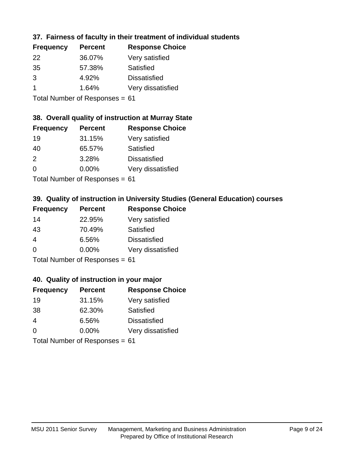# **37. Fairness of faculty in their treatment of individual students**

| <b>Frequency</b> | <b>Percent</b> | <b>Response Choice</b> |
|------------------|----------------|------------------------|
| 22               | 36.07%         | Very satisfied         |
| 35               | 57.38%         | Satisfied              |
| 3                | 4.92%          | <b>Dissatisfied</b>    |
|                  | 1.64%          | Very dissatisfied      |
|                  |                |                        |

Total Number of Responses = 61

### **38. Overall quality of instruction at Murray State**

| <b>Frequency</b> | <b>Percent</b> | <b>Response Choice</b> |
|------------------|----------------|------------------------|
| 19               | 31.15%         | Very satisfied         |
| 40               | 65.57%         | Satisfied              |
| $\mathcal{P}$    | 3.28%          | <b>Dissatisfied</b>    |
| $\Omega$         | 0.00%          | Very dissatisfied      |
|                  |                |                        |

Total Number of Responses = 61

# **39. Quality of instruction in University Studies (General Education) courses**

| <b>Frequency</b> | <b>Percent</b>             | <b>Response Choice</b> |
|------------------|----------------------------|------------------------|
| 14               | 22.95%                     | Very satisfied         |
| 43               | 70.49%                     | Satisfied              |
| 4                | 6.56%                      | <b>Dissatisfied</b>    |
| $\Omega$         | 0.00%                      | Very dissatisfied      |
|                  | Tetal Number of Desperance |                        |

Total Number of Responses = 61

### **40. Quality of instruction in your major**

| <b>Frequency</b>               | <b>Percent</b> | <b>Response Choice</b> |
|--------------------------------|----------------|------------------------|
| 19                             | 31.15%         | Very satisfied         |
| 38                             | 62.30%         | Satisfied              |
| 4                              | 6.56%          | <b>Dissatisfied</b>    |
| $\Omega$                       | $0.00\%$       | Very dissatisfied      |
| Total Number of Responses = 61 |                |                        |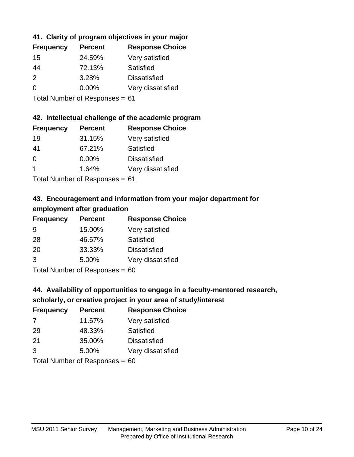# **41. Clarity of program objectives in your major**

| <b>Frequency</b> | <b>Percent</b> | <b>Response Choice</b> |
|------------------|----------------|------------------------|
| 15               | 24.59%         | Very satisfied         |
| 44               | 72.13%         | Satisfied              |
| $\mathcal{P}$    | 3.28%          | <b>Dissatisfied</b>    |
| ∩                | $0.00\%$       | Very dissatisfied      |
|                  |                |                        |

Total Number of Responses = 61

### **42. Intellectual challenge of the academic program**

| <b>Frequency</b> | <b>Percent</b> | <b>Response Choice</b> |
|------------------|----------------|------------------------|
| 19               | 31.15%         | Very satisfied         |
| 41               | 67.21%         | Satisfied              |
| $\Omega$         | 0.00%          | <b>Dissatisfied</b>    |
|                  | 1.64%          | Very dissatisfied      |
|                  |                |                        |

Total Number of Responses = 61

# **43. Encouragement and information from your major department for employment after graduation**

| <b>Frequency</b> | <b>Percent</b> | <b>Response Choice</b> |
|------------------|----------------|------------------------|
| 9                | 15.00%         | Very satisfied         |
| 28               | 46.67%         | Satisfied              |
| 20               | 33.33%         | <b>Dissatisfied</b>    |
| 3                | 5.00%          | Very dissatisfied      |
|                  |                |                        |

Total Number of Responses = 60

# **44. Availability of opportunities to engage in a faculty-mentored research,**

# **scholarly, or creative project in your area of study/interest**

| <b>Frequency</b> | <b>Percent</b> | <b>Response Choice</b> |
|------------------|----------------|------------------------|
| 7                | 11.67%         | Very satisfied         |
| 29               | 48.33%         | Satisfied              |
| 21               | 35.00%         | <b>Dissatisfied</b>    |
| 3                | 5.00%          | Very dissatisfied      |
|                  |                |                        |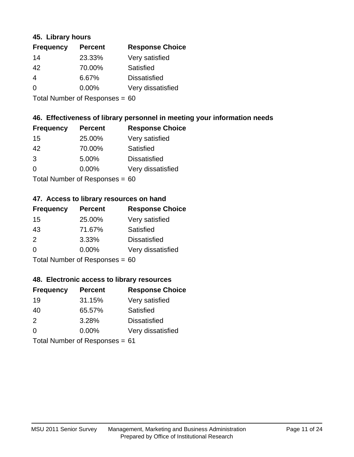### **45. Library hours**

| <b>Frequency</b> | <b>Percent</b> | <b>Response Choice</b> |
|------------------|----------------|------------------------|
| 14               | 23.33%         | Very satisfied         |
| 42               | 70.00%         | Satisfied              |
| $\overline{4}$   | 6.67%          | <b>Dissatisfied</b>    |
| $\Omega$         | 0.00%          | Very dissatisfied      |
|                  |                |                        |

Total Number of Responses = 60

## **46. Effectiveness of library personnel in meeting your information needs**

| <b>Frequency</b> | <b>Percent</b> | <b>Response Choice</b> |
|------------------|----------------|------------------------|
| 15               | 25.00%         | Very satisfied         |
| 42               | 70.00%         | Satisfied              |
| 3                | 5.00%          | <b>Dissatisfied</b>    |
| $\Omega$         | 0.00%          | Very dissatisfied      |
|                  |                |                        |

Total Number of Responses = 60

### **47. Access to library resources on hand**

| <b>Frequency</b> | <b>Percent</b>            | <b>Response Choice</b> |
|------------------|---------------------------|------------------------|
| 15               | 25.00%                    | Very satisfied         |
| 43               | 71.67%                    | Satisfied              |
| $\mathcal{P}$    | 3.33%                     | <b>Dissatisfied</b>    |
| $\Omega$         | $0.00\%$                  | Very dissatisfied      |
|                  | Total Number of Desponses |                        |

Total Number of Responses = 60

### **48. Electronic access to library resources**

| <b>Frequency</b>               | <b>Percent</b> | <b>Response Choice</b> |
|--------------------------------|----------------|------------------------|
| 19                             | 31.15%         | Very satisfied         |
| 40                             | 65.57%         | Satisfied              |
| 2                              | 3.28%          | <b>Dissatisfied</b>    |
| $\Omega$                       | $0.00\%$       | Very dissatisfied      |
| Total Number of Responses = 61 |                |                        |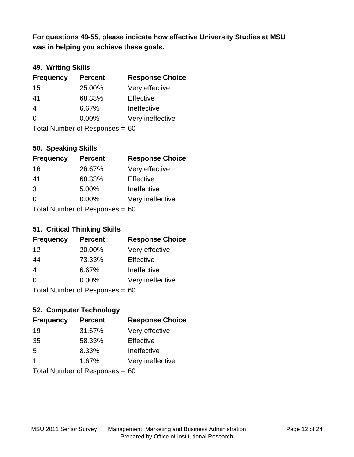**was in helping you achieve these goals. For questions 49-55, please indicate how effective University Studies at MSU** 

## **49. Writing Skills**

| <b>Frequency</b>               | <b>Percent</b> | <b>Response Choice</b> |
|--------------------------------|----------------|------------------------|
| 15                             | 25.00%         | Very effective         |
| 41                             | 68.33%         | Effective              |
| $\overline{4}$                 | 6.67%          | Ineffective            |
| $\Omega$                       | $0.00\%$       | Very ineffective       |
| Total Number of Responses = 60 |                |                        |

### **50. Speaking Skills**

| <b>Frequency</b> | <b>Percent</b>                 | <b>Response Choice</b> |
|------------------|--------------------------------|------------------------|
| 16               | 26.67%                         | Very effective         |
| 41               | 68.33%                         | Effective              |
| 3                | 5.00%                          | Ineffective            |
| $\Omega$         | 0.00%                          | Very ineffective       |
|                  | Total Number of Recnonces - 60 |                        |

Total Number of Responses = 60

#### **51. Critical Thinking Skills**

| <b>Frequency</b> | <b>Percent</b>                 | <b>Response Choice</b> |
|------------------|--------------------------------|------------------------|
| 12               | 20.00%                         | Very effective         |
| 44               | 73.33%                         | Effective              |
| $\overline{4}$   | 6.67%                          | Ineffective            |
| $\Omega$         | $0.00\%$                       | Very ineffective       |
|                  | Total Number of Responses = 60 |                        |

# **52. Computer Technology**

| <b>Frequency</b>                 | <b>Percent</b> | <b>Response Choice</b> |
|----------------------------------|----------------|------------------------|
| 19                               | 31.67%         | Very effective         |
| 35                               | 58.33%         | Effective              |
| 5                                | 8.33%          | Ineffective            |
| $\mathbf 1$                      | 1.67%          | Very ineffective       |
| Total Number of Responses = $60$ |                |                        |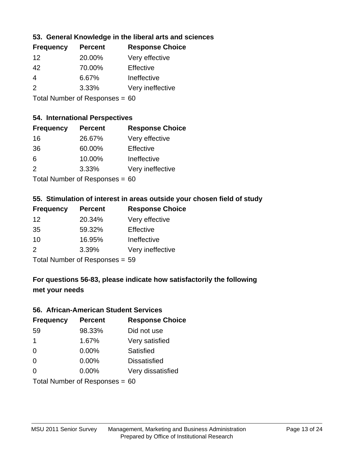## **53. General Knowledge in the liberal arts and sciences**

| <b>Frequency</b> | <b>Percent</b> | <b>Response Choice</b> |
|------------------|----------------|------------------------|
| 12               | 20.00%         | Very effective         |
| 42               | 70.00%         | Effective              |
| 4                | 6.67%          | Ineffective            |
| $\mathcal{P}$    | 3.33%          | Very ineffective       |
|                  |                |                        |

Total Number of Responses = 60

#### **54. International Perspectives**

| <b>Frequency</b>                              | <b>Percent</b> | <b>Response Choice</b> |
|-----------------------------------------------|----------------|------------------------|
| 16                                            | 26.67%         | Very effective         |
| 36                                            | 60.00%         | Effective              |
| 6                                             | 10.00%         | Ineffective            |
| 2                                             | 3.33%          | Very ineffective       |
| $T$ at all Message and $D$ and an approximate |                |                        |

Total Number of Responses = 60

### **55. Stimulation of interest in areas outside your chosen field of study**

| <b>Frequency</b> | <b>Percent</b>             | <b>Response Choice</b> |
|------------------|----------------------------|------------------------|
| 12               | 20.34%                     | Very effective         |
| 35               | 59.32%                     | Effective              |
| 10               | 16.95%                     | Ineffective            |
| $\mathcal{P}$    | 3.39%                      | Very ineffective       |
|                  | Total Number of Denonone – |                        |

Total Number of Responses = 59

# **For questions 56-83, please indicate how satisfactorily the following met your needs**

#### **56. African-American Student Services**

| <b>Frequency</b>     | <b>Percent</b>                 | <b>Response Choice</b> |
|----------------------|--------------------------------|------------------------|
| 59                   | 98.33%                         | Did not use            |
| $\blacktriangleleft$ | 1.67%                          | Very satisfied         |
| $\Omega$             | 0.00%                          | Satisfied              |
| 0                    | $0.00\%$                       | <b>Dissatisfied</b>    |
| $\Omega$             | 0.00%                          | Very dissatisfied      |
|                      | Total Number of Responses = 60 |                        |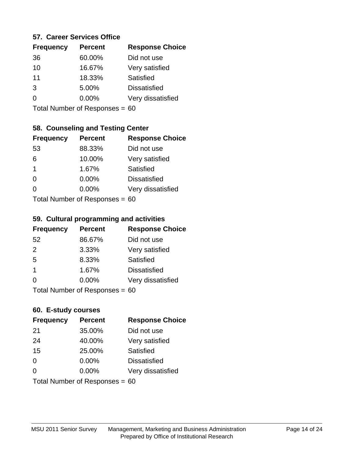### **57. Career Services Office**

| <b>Frequency</b> | <b>Percent</b> | <b>Response Choice</b> |
|------------------|----------------|------------------------|
| 36               | 60.00%         | Did not use            |
| 10               | 16.67%         | Very satisfied         |
| 11               | 18.33%         | Satisfied              |
| 3                | 5.00%          | <b>Dissatisfied</b>    |
| ∩                | $0.00\%$       | Very dissatisfied      |
|                  |                |                        |

Total Number of Responses = 60

### **58. Counseling and Testing Center**

| <b>Frequency</b> | <b>Percent</b>            | <b>Response Choice</b> |
|------------------|---------------------------|------------------------|
| 53               | 88.33%                    | Did not use            |
| 6                | 10.00%                    | Very satisfied         |
| $\mathbf 1$      | 1.67%                     | Satisfied              |
| $\Omega$         | 0.00%                     | <b>Dissatisfied</b>    |
| $\Omega$         | 0.00%                     | Very dissatisfied      |
|                  | Total Number of Desponses |                        |

Total Number of Responses = 60

#### **59. Cultural programming and activities**

| <b>Frequency</b>               | <b>Percent</b> | <b>Response Choice</b> |
|--------------------------------|----------------|------------------------|
| 52                             | 86.67%         | Did not use            |
| 2                              | 3.33%          | Very satisfied         |
| 5                              | 8.33%          | Satisfied              |
| $\overline{\mathbf{1}}$        | 1.67%          | <b>Dissatisfied</b>    |
| $\Omega$                       | $0.00\%$       | Very dissatisfied      |
| Total Number of Responses = 60 |                |                        |

### **60. E-study courses**

| <b>Frequency</b> | <b>Percent</b>                 | <b>Response Choice</b> |
|------------------|--------------------------------|------------------------|
| 21               | 35.00%                         | Did not use            |
| 24               | 40.00%                         | Very satisfied         |
| 15               | 25.00%                         | Satisfied              |
| $\Omega$         | 0.00%                          | <b>Dissatisfied</b>    |
| $\Omega$         | 0.00%                          | Very dissatisfied      |
|                  | Total Number of Responses = 60 |                        |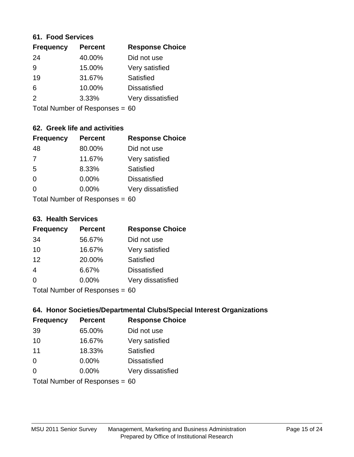#### **61. Food Services**

| <b>Frequency</b> | <b>Percent</b> | <b>Response Choice</b> |
|------------------|----------------|------------------------|
| 24               | 40.00%         | Did not use            |
| 9                | 15.00%         | Very satisfied         |
| 19               | 31.67%         | Satisfied              |
| 6                | 10.00%         | <b>Dissatisfied</b>    |
| $\mathcal{P}$    | 3.33%          | Very dissatisfied      |
|                  |                |                        |

Total Number of Responses = 60

# **62. Greek life and activities**

| <b>Frequency</b>                 | <b>Percent</b> | <b>Response Choice</b> |
|----------------------------------|----------------|------------------------|
| 48                               | 80.00%         | Did not use            |
| $\overline{7}$                   | 11.67%         | Very satisfied         |
| 5                                | 8.33%          | <b>Satisfied</b>       |
| $\Omega$                         | 0.00%          | <b>Dissatisfied</b>    |
| 0                                | 0.00%          | Very dissatisfied      |
| Total Number of Responses = $60$ |                |                        |

#### **63. Health Services**

| <b>Frequency</b> | <b>Percent</b>            | <b>Response Choice</b> |
|------------------|---------------------------|------------------------|
| 34               | 56.67%                    | Did not use            |
| 10               | 16.67%                    | Very satisfied         |
| 12               | 20.00%                    | Satisfied              |
| $\overline{4}$   | 6.67%                     | <b>Dissatisfied</b>    |
| $\Omega$         | 0.00%                     | Very dissatisfied      |
|                  | Total Number of Deepensee |                        |

Total Number of Responses = 60

### **64. Honor Societies/Departmental Clubs/Special Interest Organizations**

| <b>Frequency</b>               | <b>Percent</b> | <b>Response Choice</b> |
|--------------------------------|----------------|------------------------|
| 39                             | 65.00%         | Did not use            |
| 10                             | 16.67%         | Very satisfied         |
| 11                             | 18.33%         | <b>Satisfied</b>       |
| $\Omega$                       | 0.00%          | <b>Dissatisfied</b>    |
| $\Omega$                       | 0.00%          | Very dissatisfied      |
| Total Number of Responses = 60 |                |                        |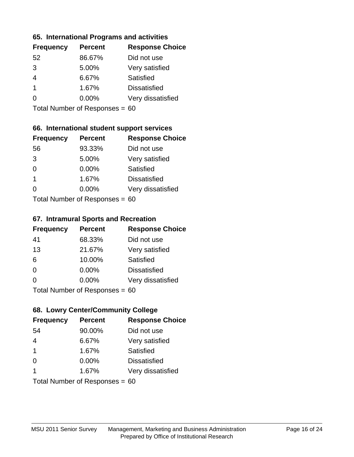### **65. International Programs and activities**

| <b>Frequency</b> | <b>Percent</b> | <b>Response Choice</b> |
|------------------|----------------|------------------------|
| 52               | 86.67%         | Did not use            |
| 3                | 5.00%          | Very satisfied         |
|                  | 6.67%          | Satisfied              |
|                  | 1.67%          | <b>Dissatisfied</b>    |
|                  | $0.00\%$       | Very dissatisfied      |
|                  |                |                        |

Total Number of Responses = 60

# **66. International student support services**

| <b>Frequency</b>          | <b>Percent</b> | <b>Response Choice</b> |
|---------------------------|----------------|------------------------|
| 56                        | 93.33%         | Did not use            |
| 3                         | 5.00%          | Very satisfied         |
| $\Omega$                  | $0.00\%$       | <b>Satisfied</b>       |
| $\overline{1}$            | 1.67%          | <b>Dissatisfied</b>    |
| ∩                         | 0.00%          | Very dissatisfied      |
| Total Number of Deepensee |                |                        |

Total Number of Responses = 60

#### **67. Intramural Sports and Recreation**

| <b>Frequency</b>             | <b>Percent</b> | <b>Response Choice</b> |
|------------------------------|----------------|------------------------|
| 41                           | 68.33%         | Did not use            |
| 13                           | 21.67%         | Very satisfied         |
| 6                            | 10.00%         | Satisfied              |
| $\Omega$                     | 0.00%          | <b>Dissatisfied</b>    |
| $\Omega$                     | $0.00\%$       | Very dissatisfied      |
| $Total Number of Denonese -$ |                |                        |

Total Number of Responses = 60

# **68. Lowry Center/Community College**

| <b>Frequency</b>        | <b>Percent</b>                   | <b>Response Choice</b> |
|-------------------------|----------------------------------|------------------------|
| 54                      | 90.00%                           | Did not use            |
| $\overline{4}$          | 6.67%                            | Very satisfied         |
| $\overline{\mathbf{1}}$ | 1.67%                            | Satisfied              |
| $\Omega$                | 0.00%                            | <b>Dissatisfied</b>    |
| 1                       | 1.67%                            | Very dissatisfied      |
|                         | Total Number of Responses = $60$ |                        |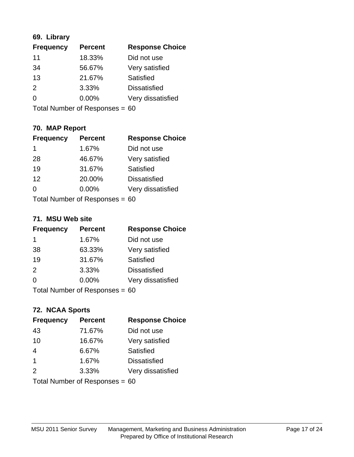# **69. Library**

| <b>Frequency</b> | <b>Percent</b> | <b>Response Choice</b> |
|------------------|----------------|------------------------|
| 11               | 18.33%         | Did not use            |
| 34               | 56.67%         | Very satisfied         |
| 13               | 21.67%         | Satisfied              |
| 2                | 3.33%          | <b>Dissatisfied</b>    |
| $\overline{0}$   | 0.00%          | Very dissatisfied      |
|                  |                |                        |

Total Number of Responses = 60

# **70. MAP Report**

| <b>Frequency</b>                 | <b>Percent</b> | <b>Response Choice</b> |
|----------------------------------|----------------|------------------------|
| 1                                | 1.67%          | Did not use            |
| 28                               | 46.67%         | Very satisfied         |
| 19                               | 31.67%         | Satisfied              |
| 12                               | 20.00%         | <b>Dissatisfied</b>    |
| ∩                                | $0.00\%$       | Very dissatisfied      |
| Total Number of Responses = $60$ |                |                        |

### **71. MSU Web site**

| <b>Frequency</b>               | <b>Percent</b> | <b>Response Choice</b> |
|--------------------------------|----------------|------------------------|
| 1                              | 1.67%          | Did not use            |
| 38                             | 63.33%         | Very satisfied         |
| 19                             | 31.67%         | Satisfied              |
| 2                              | 3.33%          | <b>Dissatisfied</b>    |
| $\Omega$                       | $0.00\%$       | Very dissatisfied      |
| Total Number of Responses = 60 |                |                        |

# **72. NCAA Sports**

| <b>Frequency</b> | <b>Percent</b>                   | <b>Response Choice</b> |
|------------------|----------------------------------|------------------------|
| 43               | 71.67%                           | Did not use            |
| 10               | 16.67%                           | Very satisfied         |
| 4                | 6.67%                            | Satisfied              |
| $\mathbf 1$      | 1.67%                            | <b>Dissatisfied</b>    |
| 2                | 3.33%                            | Very dissatisfied      |
|                  | Total Number of Responses = $60$ |                        |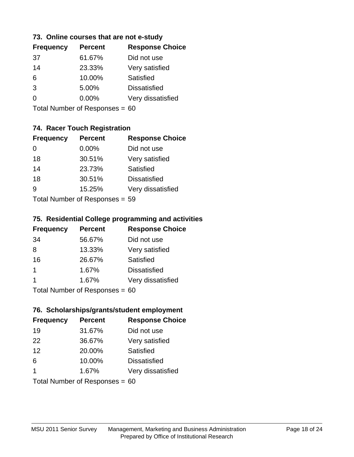### **73. Online courses that are not e-study**

| <b>Frequency</b> | <b>Percent</b> | <b>Response Choice</b> |
|------------------|----------------|------------------------|
| 37               | 61.67%         | Did not use            |
| 14               | 23.33%         | Very satisfied         |
| 6                | 10.00%         | Satisfied              |
| 3                | 5.00%          | <b>Dissatisfied</b>    |
|                  | $0.00\%$       | Very dissatisfied      |
|                  |                |                        |

Total Number of Responses = 60

# **74. Racer Touch Registration**

| <b>Frequency</b>          | <b>Percent</b> | <b>Response Choice</b> |
|---------------------------|----------------|------------------------|
| 0                         | 0.00%          | Did not use            |
| 18                        | 30.51%         | Very satisfied         |
| 14                        | 23.73%         | Satisfied              |
| 18                        | 30.51%         | <b>Dissatisfied</b>    |
| g                         | 15.25%         | Very dissatisfied      |
| Total Number of Desponses |                |                        |

Total Number of Responses = 59

### **75. Residential College programming and activities**

| <b>Frequency</b>          | <b>Percent</b> | <b>Response Choice</b> |
|---------------------------|----------------|------------------------|
| 34                        | 56.67%         | Did not use            |
| 8                         | 13.33%         | Very satisfied         |
| 16                        | 26.67%         | Satisfied              |
| 1                         | 1.67%          | <b>Dissatisfied</b>    |
| 1                         | 1.67%          | Very dissatisfied      |
| Total Number of Decononce |                |                        |

Total Number of Responses = 60

### **76. Scholarships/grants/student employment**

| <b>Frequency</b>               | <b>Percent</b> | <b>Response Choice</b> |
|--------------------------------|----------------|------------------------|
| 19                             | 31.67%         | Did not use            |
| 22                             | 36.67%         | Very satisfied         |
| 12                             | 20.00%         | Satisfied              |
| 6                              | 10.00%         | <b>Dissatisfied</b>    |
| 1                              | 1.67%          | Very dissatisfied      |
| Total Number of Responses = 60 |                |                        |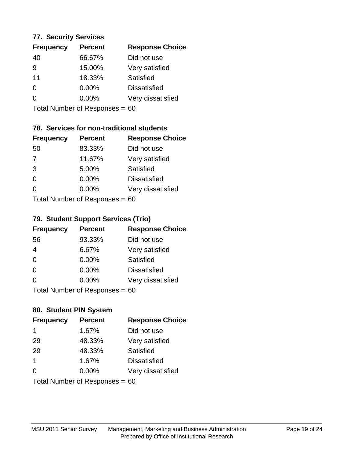### **77. Security Services**

| <b>Frequency</b> | <b>Percent</b> | <b>Response Choice</b> |
|------------------|----------------|------------------------|
| 40               | 66.67%         | Did not use            |
| 9                | 15.00%         | Very satisfied         |
| 11               | 18.33%         | Satisfied              |
| $\Omega$         | $0.00\%$       | <b>Dissatisfied</b>    |
| ∩                | $0.00\%$       | Very dissatisfied      |
|                  |                |                        |

Total Number of Responses = 60

# **78. Services for non-traditional students**

| <b>Frequency</b>          | <b>Percent</b> | <b>Response Choice</b> |  |
|---------------------------|----------------|------------------------|--|
| 50                        | 83.33%         | Did not use            |  |
| $\overline{7}$            | 11.67%         | Very satisfied         |  |
| 3                         | 5.00%          | <b>Satisfied</b>       |  |
| $\Omega$                  | 0.00%          | <b>Dissatisfied</b>    |  |
| ∩                         | 0.00%          | Very dissatisfied      |  |
| Total Number of Deepensee |                |                        |  |

Total Number of Responses = 60

## **79. Student Support Services (Trio)**

| <b>Frequency</b>               | <b>Percent</b> | <b>Response Choice</b> |
|--------------------------------|----------------|------------------------|
| 56                             | 93.33%         | Did not use            |
| $\overline{4}$                 | 6.67%          | Very satisfied         |
| $\Omega$                       | 0.00%          | Satisfied              |
| $\Omega$                       | $0.00\%$       | <b>Dissatisfied</b>    |
| $\Omega$                       | 0.00%          | Very dissatisfied      |
| Total Number of Responses = 60 |                |                        |

## **80. Student PIN System**

| <b>Frequency</b>               | <b>Percent</b> | <b>Response Choice</b> |
|--------------------------------|----------------|------------------------|
| 1                              | 1.67%          | Did not use            |
| 29                             | 48.33%         | Very satisfied         |
| 29                             | 48.33%         | Satisfied              |
| 1                              | 1.67%          | <b>Dissatisfied</b>    |
| $\Omega$                       | $0.00\%$       | Very dissatisfied      |
| Total Number of Responses = 60 |                |                        |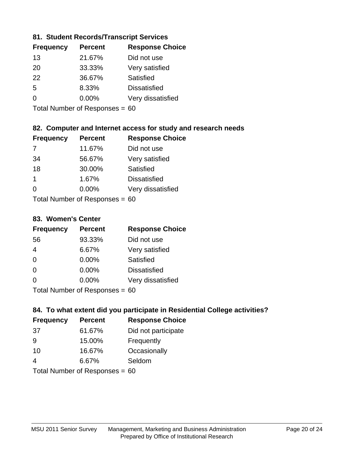## **81. Student Records/Transcript Services**

| <b>Response Choice</b> |
|------------------------|
|                        |
|                        |
|                        |
|                        |
| Very dissatisfied      |
|                        |

Total Number of Responses = 60

# **82. Computer and Internet access for study and research needs**

| <b>Frequency</b>           | <b>Percent</b> | <b>Response Choice</b> |
|----------------------------|----------------|------------------------|
|                            | 11.67%         | Did not use            |
| 34                         | 56.67%         | Very satisfied         |
| 18                         | 30.00%         | Satisfied              |
| 1                          | 1.67%          | <b>Dissatisfied</b>    |
| 0                          | 0.00%          | Very dissatisfied      |
| Tatal Number of Desperance |                |                        |

Total Number of Responses = 60

### **83. Women's Center**

| <b>Frequency</b>          | <b>Percent</b> | <b>Response Choice</b> |
|---------------------------|----------------|------------------------|
| 56                        | 93.33%         | Did not use            |
| $\overline{4}$            | 6.67%          | Very satisfied         |
| $\Omega$                  | $0.00\%$       | <b>Satisfied</b>       |
| $\Omega$                  | $0.00\%$       | <b>Dissatisfied</b>    |
| $\Omega$                  | 0.00%          | Very dissatisfied      |
| Total Number of Desponses |                |                        |

Total Number of Responses = 60

### **84. To what extent did you participate in Residential College activities?**

| <b>Frequency</b><br><b>Percent</b> |        | <b>Response Choice</b> |  |
|------------------------------------|--------|------------------------|--|
| -37                                | 61.67% | Did not participate    |  |
| 9                                  | 15.00% | Frequently             |  |
| 10                                 | 16.67% | Occasionally           |  |
| 4                                  | 6.67%  | Seldom                 |  |
| The HI all and December 2014       |        |                        |  |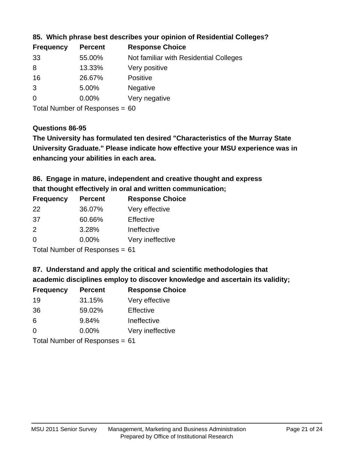| <b>Frequency</b> | <b>Percent</b> | <b>Response Choice</b>                 |
|------------------|----------------|----------------------------------------|
| 33               | 55.00%         | Not familiar with Residential Colleges |
| 8                | 13.33%         | Very positive                          |
| 16               | 26.67%         | Positive                               |
| 3                | 5.00%          | <b>Negative</b>                        |
| $\overline{0}$   | 0.00%          | Very negative                          |
|                  |                |                                        |

**85. Which phrase best describes your opinion of Residential Colleges?**

Total Number of Responses = 60

## **Questions 86-95**

**University Graduate." Please indicate how effective your MSU experience was in The University has formulated ten desired "Characteristics of the Murray State enhancing your abilities in each area.**

**86. Engage in mature, independent and creative thought and express that thought effectively in oral and written communication;**

| <b>Frequency</b> | <b>Percent</b> | <b>Response Choice</b> |
|------------------|----------------|------------------------|
| 22               | 36.07%         | Very effective         |
| .37              | 60.66%         | Effective              |
| $\mathcal{P}$    | 3.28%          | Ineffective            |
| $\Omega$         | $0.00\%$       | Very ineffective       |

Total Number of Responses = 61

**87. Understand and apply the critical and scientific methodologies that** 

**academic disciplines employ to discover knowledge and ascertain its validity;**

| <b>Frequency</b> | <b>Percent</b> | <b>Response Choice</b> |
|------------------|----------------|------------------------|
| 19               | 31.15%         | Very effective         |
| 36               | 59.02%         | Effective              |
| 6                | 9.84%          | Ineffective            |
| $\Omega$         | 0.00%          | Very ineffective       |
|                  |                |                        |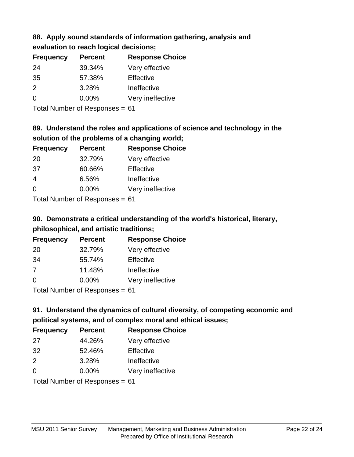# **88. Apply sound standards of information gathering, analysis and**

**evaluation to reach logical decisions;**

| <b>Frequency</b> | <b>Percent</b> | <b>Response Choice</b> |
|------------------|----------------|------------------------|
| 24               | 39.34%         | Very effective         |
| 35               | 57.38%         | Effective              |
| $\mathcal{P}$    | 3.28%          | Ineffective            |
| $\Omega$         | $0.00\%$       | Very ineffective       |

Total Number of Responses = 61

# **89. Understand the roles and applications of science and technology in the solution of the problems of a changing world;**

| <b>Frequency</b> | <b>Percent</b> | <b>Response Choice</b> |
|------------------|----------------|------------------------|
| 20               | 32.79%         | Very effective         |
| 37               | 60.66%         | Effective              |
| 4                | 6.56%          | Ineffective            |
| $\Omega$         | 0.00%          | Very ineffective       |
|                  |                |                        |

Total Number of Responses = 61

# **90. Demonstrate a critical understanding of the world's historical, literary, philosophical, and artistic traditions;**

| <b>Frequency</b> | <b>Percent</b> | <b>Response Choice</b> |
|------------------|----------------|------------------------|
| -20              | 32.79%         | Very effective         |
| 34               | 55.74%         | Effective              |
| 7                | 11.48%         | Ineffective            |
| $\Omega$         | 0.00%          | Very ineffective       |
|                  |                |                        |

Total Number of Responses = 61

# **91. Understand the dynamics of cultural diversity, of competing economic and political systems, and of complex moral and ethical issues;**

| <b>Frequency</b>               | <b>Percent</b> | <b>Response Choice</b> |
|--------------------------------|----------------|------------------------|
| 27                             | 44.26%         | Very effective         |
| 32                             | 52.46%         | Effective              |
| $\mathcal{P}$                  | 3.28%          | Ineffective            |
| $\Omega$                       | 0.00%          | Very ineffective       |
| Total Number of Responses = 61 |                |                        |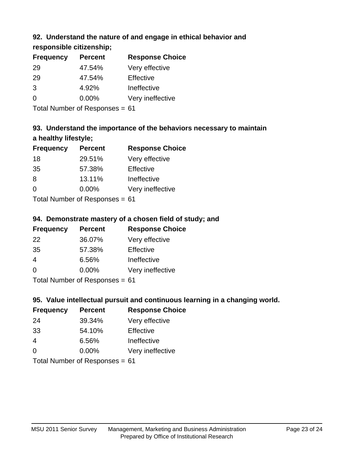# **92. Understand the nature of and engage in ethical behavior and**

**responsible citizenship;**

| <b>Frequency</b> | <b>Percent</b> | <b>Response Choice</b> |
|------------------|----------------|------------------------|
| 29               | 47.54%         | Very effective         |
| 29               | 47.54%         | Effective              |
| 3                | 4.92%          | Ineffective            |
| $\Omega$         | $0.00\%$       | Very ineffective       |
|                  |                |                        |

Total Number of Responses = 61

# **93. Understand the importance of the behaviors necessary to maintain a healthy lifestyle;**

| <b>Frequency</b>               | <b>Percent</b> | <b>Response Choice</b> |
|--------------------------------|----------------|------------------------|
| 18                             | 29.51%         | Very effective         |
| 35                             | 57.38%         | Effective              |
| 8                              | 13.11%         | Ineffective            |
| $\Omega$                       | 0.00%          | Very ineffective       |
| Tatal Manufacture Construction |                |                        |

Total Number of Responses = 61

# **94. Demonstrate mastery of a chosen field of study; and**

| <b>Frequency</b> | <b>Percent</b> | <b>Response Choice</b> |
|------------------|----------------|------------------------|
| 22               | 36.07%         | Very effective         |
| 35               | 57.38%         | Effective              |
| 4                | 6.56%          | Ineffective            |
| $\Omega$         | $0.00\%$       | Very ineffective       |
|                  |                |                        |

Total Number of Responses = 61

# **95. Value intellectual pursuit and continuous learning in a changing world.**

| <b>Frequency</b> | <b>Percent</b> | <b>Response Choice</b> |
|------------------|----------------|------------------------|
| 24               | 39.34%         | Very effective         |
| 33               | 54.10%         | Effective              |
| 4                | 6.56%          | Ineffective            |
| $\Omega$         | 0.00%          | Very ineffective       |
|                  |                |                        |